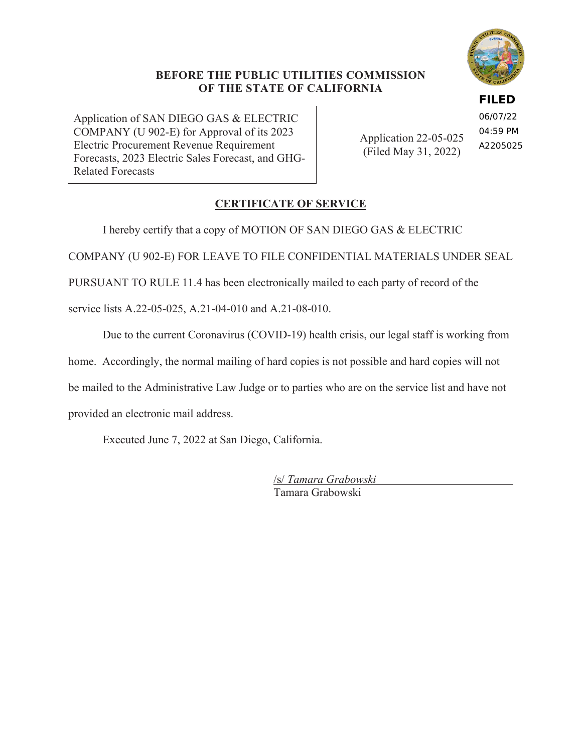### **BEFORE THE PUBLIC UTILITIES COMMISSION OF THE STATE OF CALIFORNIA**

Application of SAN DIEGO GAS & ELECTRIC COMPANY (U 902-E) for Approval of its 2023 Electric Procurement Revenue Requirement Forecasts, 2023 Electric Sales Forecast, and GHG-Related Forecasts

Application 22-05-025 (Filed May 31, 2022) 06/07/22 04:59 PM A2205025

**FILED**

## **CERTIFICATE OF SERVICE**

I hereby certify that a copy of MOTION OF SAN DIEGO GAS & ELECTRIC

COMPANY (U 902-E) FOR LEAVE TO FILE CONFIDENTIAL MATERIALS UNDER SEAL

PURSUANT TO RULE 11.4 has been electronically mailed to each party of record of the

service lists A.22-05-025, A.21-04-010 and A.21-08-010.

Due to the current Coronavirus (COVID-19) health crisis, our legal staff is working from

home. Accordingly, the normal mailing of hard copies is not possible and hard copies will not

be mailed to the Administrative Law Judge or to parties who are on the service list and have not

provided an electronic mail address.

Executed June 7, 2022 at San Diego, California.

/s/ *Tamara Grabowski* Tamara Grabowski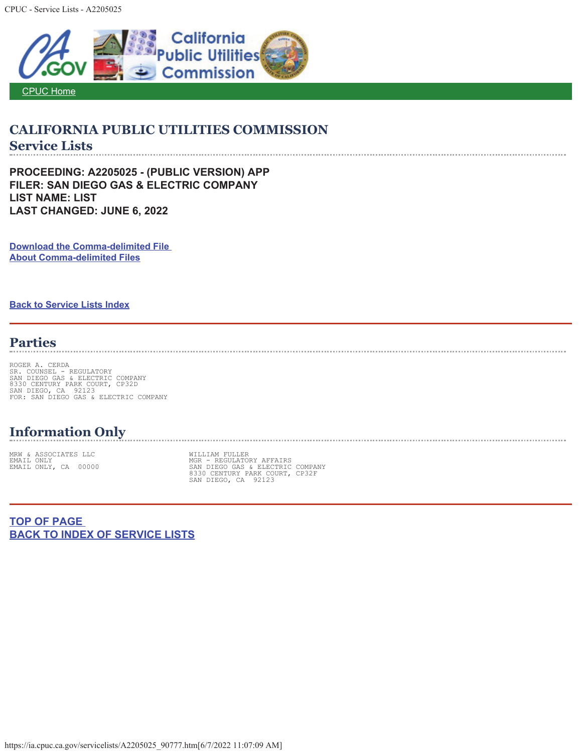

## **CALIFORNIA PUBLIC UTILITIES COMMISSION Service Lists**

**PROCEEDING: A2205025 - (PUBLIC VERSION) APP FILER: SAN DIEGO GAS & ELECTRIC COMPANY LIST NAME: LIST LAST CHANGED: JUNE 6, 2022** 

**Download the Comma-delimited File About Comma-delimited Files**

**Back to Service Lists Index**

## **Parties**

ROGER A. CERDA<br>SR. COUNSEL - REGULATORY<br>SAN DIEGO GAS & ELECTRIC COMPANY<br>8330 CENTURY PARK COURT, CP32D<br>SAN DIEGO, CA 92123<br>FOR: SAN DIEGO GAS & ELECTRIC COMPANY

## **Information Only**

MRW & ASSOCIATES LLC WILLIAM FULLER

EMAIL ONLY<br>EMAIL ONLY, CA 00000 SAN DIEGO GAS ANDER SAN DIEGO GAS ELECTRIC COMPANY<br>8330 CENTURY PARK COURT, CP32F<br>SAN DIEGO, CA 92123

**TOP OF PAGE BACK TO INDEX OF SERVICE LISTS**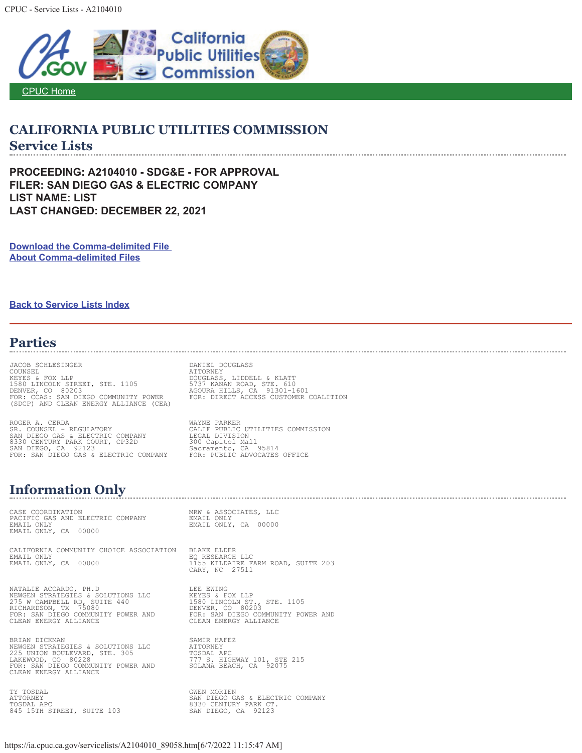

# **CALIFORNIA PUBLIC UTILITIES COMMISSION Service Lists**

**PROCEEDING: A2104010 - SDG&E - FOR APPROVAL FILER: SAN DIEGO GAS & ELECTRIC COMPANY LIST NAME: LIST LAST CHANGED: DECEMBER 22, 2021** 

**Download the Comma-delimited File About Comma-delimited Files**

**Back to Service Lists Index**

## **Parties**

JACOB SCHLESINGER DAN DANIEL DOUGLASS COUNSEL DOUGLASS COUNSEL ATTORNEY KEYES & FOX LLP DOUGLASS, LIDDELL & KLATT 1580 LINCOLN STREET, STE. 1105 5737 KANAN ROAD, STE. 610 DENVER, CO 80203<br>FOR: CCAS: SAN DIEGO COMMUNITY POWER FOR: DIRECT ACCESS CUSTOMER COALITION<br>(SDCP) AND CLEAN ENERGY ALLIANCE (CEA)

ROGER A. CERDA<br>
SR. COUNSEL - REGULATORY COMPANY CALIF PUBLIC UTILITIES COMMISSION<br>
SAN DIEGO GAS & ELECTRIC COMPANY LEGAL DIVISION<br>
S330 CENTURY PARK COURT, CP32D 300 Capitol Mall<br>
SAN DIEGO, CA 92123<br>
FOR: SAN DIEGO GAS

#### **Information Only**

CASE COORDINATION MRW & ASSOCIATES, LLC PACIFIC GAS AND ELECTRIC COMPANY EMAIL ONLY EMAIL ONLY EMAIL ONLY, CA 00000 EMAIL ONLY, CA 00000

CALIFORNIA COMMUNITY CHOICE ASSOCIATION BLAKE ELDER EMAIL ONLY<br>EMAIL ONLY, CA 00000

EMAIL ONLY, CA 00000 1155 KILDAIRE FARM ROAD, SUITE 203 CARY, NC 27511

NATALIE ACCARDO, PH.D LEE EWING NEWGEN STRATEGIES & SOLUTIONS LLC KEYES & FOX LLP 275 W CAMPBELL RD, SUITE 440 1580 LINCOLN ST., STE. 1105 RICHARDSON, TX 75080 DENVER, CO 80203 CLEAN ENERGY ALLIANCE CLEAN ENERGY ALLIANCE

BRIAN DICKMAN SAMIR HAFEZ NEWGEN STRATEGIES & SOLUTIONS LLC ATTORNEY 225 UNION BOULEVARD, STE. 305 TOSDAL APC LAKEWOOD, CO 80228 777 S. HIGHWAY 101, STE 215 FOR: SAN DIEGO COMMUNITY POWER AND SOLANA BEACH, CA 92075 CLEAN ENERGY ALLIANCE

TOSDAL APC 8330 CENTURY PARK CT. 845 15TH STREET, SUITE 103 SAN DIEGO, CA 92123

LEE EWING<br>KEYES & FOX LLP<br>1580 LINCOLN ST., STE. 1105<br>DENVER, CO 80203<br>FOR: SAN DIEGO COMMUNITY POWER AND<br>CLEAN ENERGY ALLIANCE

TY TOSDAL GWEN MORIEN ATTORNEY SAN DIEGO GAS & ELECTRIC COMPANY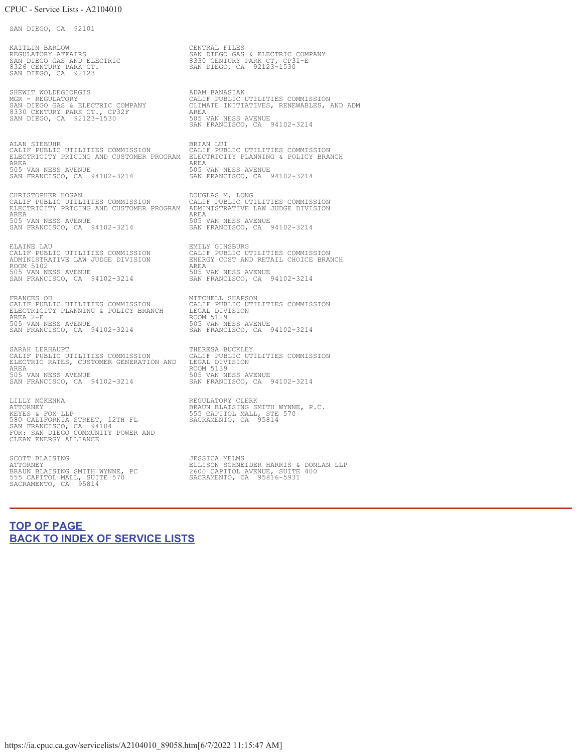SAN DIEGO, CA 92101

KAITLIN BARLOW CENTRAL FILES REGULATORY AFFAIRS<br>SAN DIEGO GAS AND ELECTRIC 8330 CENTURY PARK CT, CP31-E 8326 CENTURY PARK CT. SAN DIEGO, CA 92123-1530 SAN DIEGO, CA 92123

SHEWIT WOLDEGIORGIS **ADAM BANASIAK** 8330 CENTURY PARK CT., CP32F AREA SAN DIEGO, CA 92123-1530 505 VAN NESS AVENUE

ALAN SIEBUHR BRIAN LUI CALIF PUBLIC UTILITIES COMMISSION CALIF PUBLIC UTILITIES COMMISSION ELECTRICITY PRICING AND CUSTOMER PROGRAM ELECTRICITY PLANNING & POLICY BRANCH AREA AREA 505 VAN NESS AVENUE 505 VAN NESS AVENUE SAN FRANCISCO, CA 94102-3214 SAN FRANCISCO, CA 94102-3214

CHRISTOPHER HOGAN DOUGLAS M. LONG CALIF PUBLIC UTILITIES COMMISSION CALIF PUBLIC UTILITIES COMMISSION ELECTRICITY PRICING AND CUSTOMER PROGRAM ADMINISTRATIVE LAW JUDGE DIVISION AREA AREA 505 VAN NESS AVENUE 505 VAN NESS AVENUE SAN FRANCISCO, CA 94102-3214 SAN FRANCISCO, CA 94102-3214

ROOM 5102 AREA 505 VAN NESS AVENUE 505 VAN NESS AVENUE SAN FRANCISCO, CA 94102-3214 SAN FRANCISCO, CA 94102-3214

FRANCES OH MITCHELL SHAPSON CALIF PUBLIC UTILITIES COMMISSION CALIF PUBLIC UTILITIES COMMISSION ELECTRICITY PLANNING & POLICY BRANCH LEGAL DIVISION FRANCES OH<br>
CALIF PUBLIC UTILITIES COMMISSION GALIF PUBLIC UTILITIES COMMISSION<br>
ELECTRICITY PLANNING & POLICY BRANCH LEGAL DIVISION<br>
AREA 2-E ROOM 5129 ROOM SISS AVENUE<br>
505 VAN NESS AVENUE 505 VAN NESS AVENUE SAN FRANCISCO, CA 94102-3214

SARAH LERHAUPT († 1982)<br>CALIF PUBLIC UTILITIES COMMISSION († 1981)<br>ELECTRIC RATES, CUSTOMER GENERATION AND († 1984) DIVISION († 1982) AREA<br>505 VAN NESS AVENUE 505 VAN NESS AVENUE 505 VAN NESS AVENUE SAN FRANCISCO, CA 94102-3214 SAN FRANCISCO, CA 94102-3214

LILLY MCKENNA<br>
ATTORNEY CLERK BRAUN BLAIS BRAUN BLAISING SMITH WYNNE, P.C.<br>
ATTORNEY BRAUTION BREET, 12TH FL<br>
580 CALIFORNIA STREET, 12TH FL<br>
SAN FRANCISCO, CA 95814<br>
FOR: SAN DIEGO COMMUNITY POWER AND<br>
CLEAN ENERGY ALLIAN

555 CAPITOL MALL, SUITE 570 SACRAMENTO, CA 95816-5931 SACRAMENTO, CA 95814

MGR - REGULATORY CALIF PUBLIC UTILITIES COMMISSION SAN DIEGO GAS & ELECTRIC COMPANY CLIMATE INITIATIVES, RENEWABLES, AND ADM SAN FRANCISCO, CA 94102-3214

ELAINE LAU EMILY GINSBURG CALIF PUBLIC UTILITIES COMMISSION CALIF PUBLIC UTILITIES COMMISSION ADMINISTRATIVE LAW JUDGE DIVISION ENERGY COST AND RETAIL CHOICE BRANCH

505 VAN NESS AVENUE<br>505 VAN NESS AVENUE<br>SAN FRANCISCO, CA 94102-3214

SCOTT BLAISING<br>ATTORNEY DERIGING SONLAN ILP BELIISON SCHNEIDER HARRIS & DONLAN LLP<br>BRAUN BLAISING SMITH WYNNE, PC 2600 CAPITOL AVENUE, SUITE 400

### **TOP OF PAGE BACK TO INDEX OF SERVICE LISTS**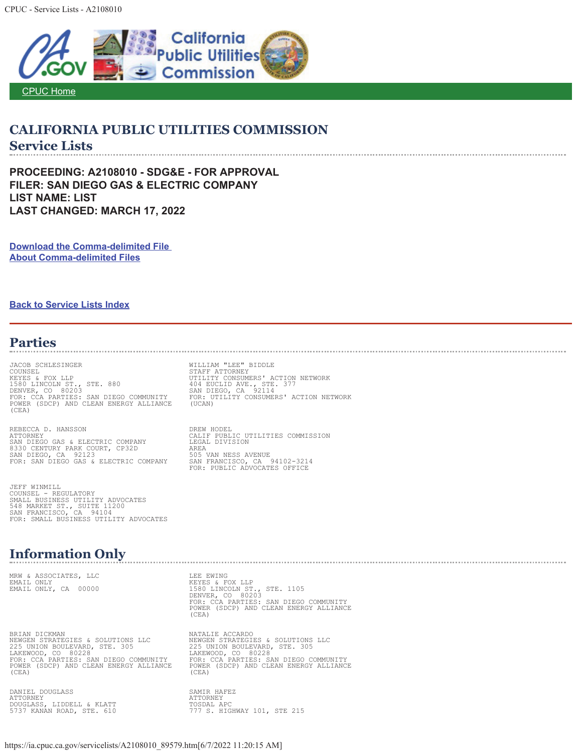CPUC - Service Lists - A2108010



## **CALIFORNIA PUBLIC UTILITIES COMMISSION Service Lists**

**PROCEEDING: A2108010 - SDG&E - FOR APPROVAL FILER: SAN DIEGO GAS & ELECTRIC COMPANY LIST NAME: LIST LAST CHANGED: MARCH 17, 2022** 

**Download the Comma-delimited File About Comma-delimited Files**

#### **Back to Service Lists Index**

### **Parties**

JACOB SCHLESINGER WILLIAM "LEE" BIDDLE COUNSEL STAFF ATTORNEY KEYES & FOX LLP UTILITY CONSUMERS' ACTION NETWORK 1580 LINCOLN ST., STE. 880 404 EUCLID AVE., STE. 377 DENVER, CO 80203 SAN DIEGO, CA 92114 FOR: CCA PARTIES: SAN DIEGO COMMUNITY FOR: UTILITY CONSUMERS' ACTION NETWORK POWER (SDCP) AND CLEAN ENERGY ALLIANCE (UCAN) (CEA)

REBECCA D. HANSSON<br>ATTORNEY SAN DIEGO GAS & ELECTRIC COMPANY LEGAL DIVISION<br>
8330 CENTURY PARK COURT, CP32D AREA<br>
SAN DIEGO, CA 92123 505 VAN NESS AVENUE 8330 CENTURY PARK COURT, CP32D AREA SAN DIEGO, CA 92123 505 VAN NESS AVENUE FOR: SAN DIEGO GAS & ELECTRIC COMPANY SAN FRANCISCO, CA 94102-3214

JEFF WINMILL COUNSEL - REGULATORY SMALL BUSINESS UTILITY ADVOCATES 548 MARKET ST., SUITE 11200 SAN FRANCISCO, CA 94104 FOR: SMALL BUSINESS UTILITY ADVOCATES

## **Information Only**

MRW & ASSOCIATES, LLC<br>EMAIL ONLY LEE EWING KEYES & FOX LLP

BRIAN DICKMAN NATALIE ACCARDO NEWGEN STRATEGIES & SOLUTIONS LLC NEWGEN STRATEGIES & SOLUTIONS LLC ANNON SINCROSON CONSULTING THE SUBSEXTION ON BOULEVARD, STE. 305<br>
LAKEWOOD, CO 80228<br>
FOR: CCA PARTIES: SAN DIEGO COMMUNITY<br>
POWER (SDCP) AND CLEAN ENERGY ALLIANCE POWER (SDCP) AND CLEAN ENERGY ALLIANCE<br>
(CEA)<br>
(CEA) (CEA) (CEA)

DANIEL DOUGLASS SAMIR HAFEZ<br>ATTORNEY SAMIR HAFEZ ATTORNEY ATTORNEY DOUGLASS, LIDDELL & KLATT TOSDAL APC

DREW HODEL<br>CALIF PUBLIC UTILITIES COMMISSION<br>LEGAL DIVISION SAN FRANCISCO, CA 94102-3214<br>FOR: PUBLIC ADVOCATES OFFICE

https://ia.cpuc.ca.gov/servicelists/A2108010\_89579.htm[6/7/2022 11:20:15 AM]

EMAIL ONLY, CA 00000 1580 LINCOLN ST., STE. 1105<br>DENVER, CO 80203<br>FOR: CCA PARTIES: SAN DIEGO COMMUNITY<br>POWER (SDCP) AND CLEAN ENERGY ALLIANCE (CEA)

225 UNION BOULEVARD, STE. 305 225 UNION BOULEVARD, STE. 305 LAKEWOOD, CO 80228 LAKEWOOD, CO 80228 FOR: CCA PARTIES: SAN DIEGO COMMUNITY FOR: CCA PARTIES: SAN DIEGO COMMUNITY

5737 KANAN ROAD, STE. 610 777 S. HIGHWAY 101, STE 215